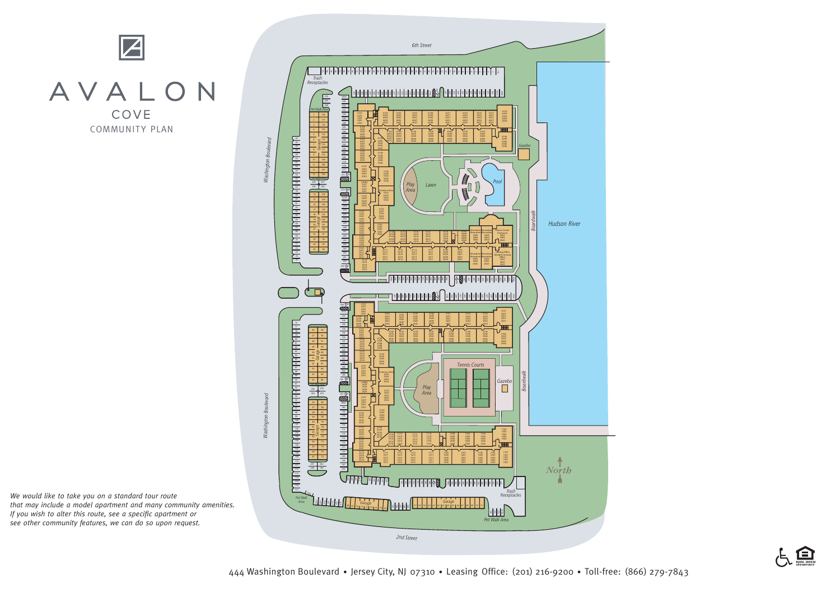

## AVALON COVE COMMUNITY PLAN



*We would like to take you on a standard tour route that may include a model apartment and many community amenities. If you wish to alter this route, see a specific apartment or see other community features, we can do so upon request.*